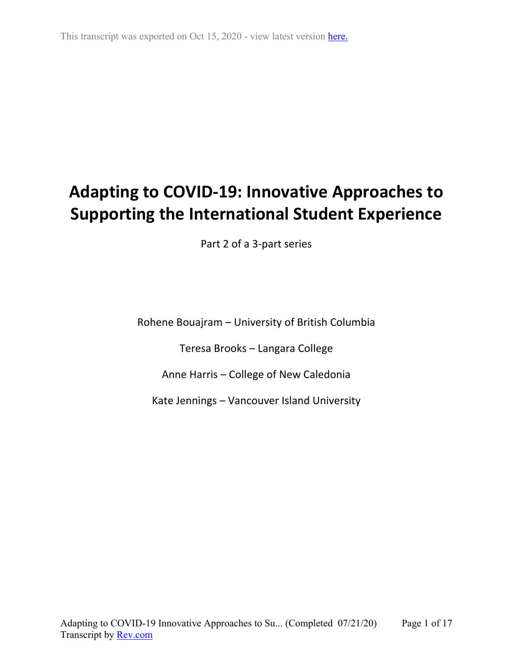# **Adapting to COVID-19: Innovative Approaches to Supporting the International Student Experience**

Part 2 of a 3-part series

Rohene Bouajram – University of British Columbia

Teresa Brooks – Langara College

Anne Harris – College of New Caledonia

Kate Jennings – Vancouver Island University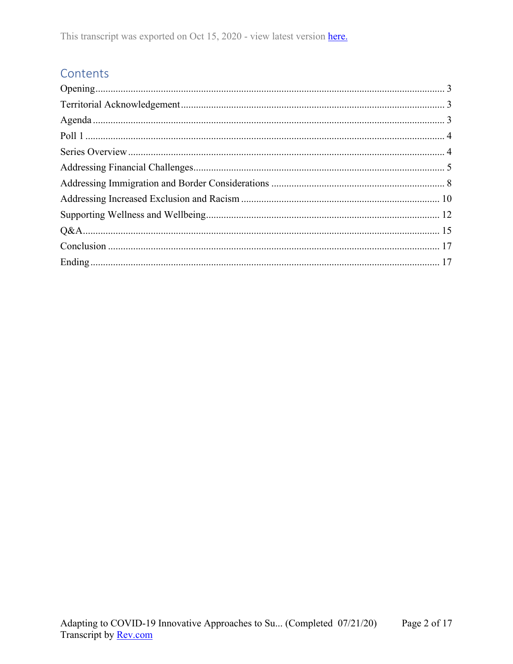# Contents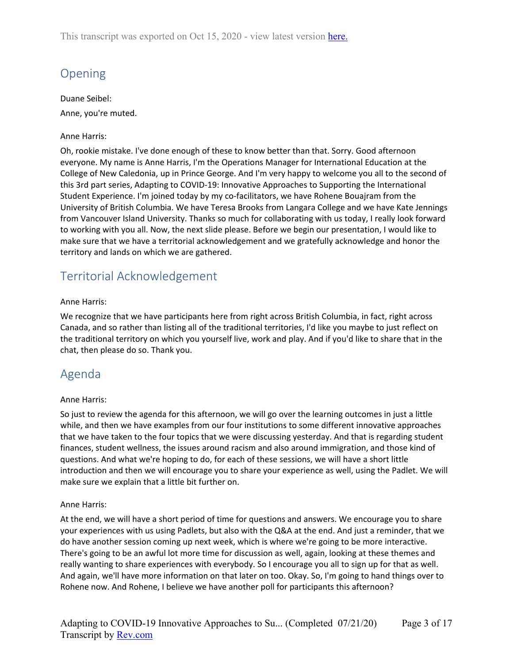# <span id="page-2-0"></span>Opening

Duane Seibel:

Anne, you're muted.

#### Anne Harris:

Oh, rookie mistake. I've done enough of these to know better than that. Sorry. Good afternoon everyone. My name is Anne Harris, I'm the Operations Manager for International Education at the College of New Caledonia, up in Prince George. And I'm very happy to welcome you all to the second of this 3rd part series, Adapting to COVID-19: Innovative Approaches to Supporting the International Student Experience. I'm joined today by my co-facilitators, we have Rohene Bouajram from the University of British Columbia. We have Teresa Brooks from Langara College and we have Kate Jennings from Vancouver Island University. Thanks so much for collaborating with us today, I really look forward to working with you all. Now, the next slide please. Before we begin our presentation, I would like to make sure that we have a territorial acknowledgement and we gratefully acknowledge and honor the territory and lands on which we are gathered.

# <span id="page-2-1"></span>Territorial Acknowledgement

#### Anne Harris:

We recognize that we have participants here from right across British Columbia, in fact, right across Canada, and so rather than listing all of the traditional territories, I'd like you maybe to just reflect on the traditional territory on which you yourself live, work and play. And if you'd like to share that in the chat, then please do so. Thank you.

# <span id="page-2-2"></span>Agenda

#### Anne Harris:

So just to review the agenda for this afternoon, we will go over the learning outcomes in just a little while, and then we have examples from our four institutions to some different innovative approaches that we have taken to the four topics that we were discussing yesterday. And that is regarding student finances, student wellness, the issues around racism and also around immigration, and those kind of questions. And what we're hoping to do, for each of these sessions, we will have a short little introduction and then we will encourage you to share your experience as well, using the Padlet. We will make sure we explain that a little bit further on.

#### Anne Harris:

At the end, we will have a short period of time for questions and answers. We encourage you to share your experiences with us using Padlets, but also with the Q&A at the end. And just a reminder, that we do have another session coming up next week, which is where we're going to be more interactive. There's going to be an awful lot more time for discussion as well, again, looking at these themes and really wanting to share experiences with everybody. So I encourage you all to sign up for that as well. And again, we'll have more information on that later on too. Okay. So, I'm going to hand things over to Rohene now. And Rohene, I believe we have another poll for participants this afternoon?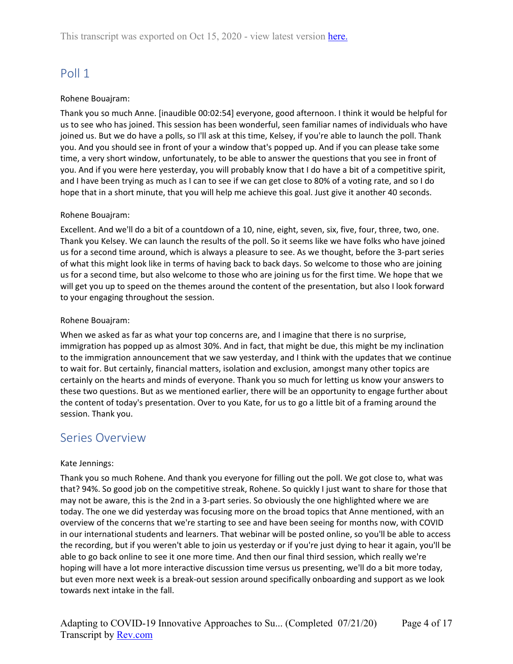# <span id="page-3-0"></span>Poll 1

#### Rohene Bouajram:

Thank you so much Anne. [inaudible 00:02:54] everyone, good afternoon. I think it would be helpful for us to see who has joined. This session has been wonderful, seen familiar names of individuals who have joined us. But we do have a polls, so I'll ask at this time, Kelsey, if you're able to launch the poll. Thank you. And you should see in front of your a window that's popped up. And if you can please take some time, a very short window, unfortunately, to be able to answer the questions that you see in front of you. And if you were here yesterday, you will probably know that I do have a bit of a competitive spirit, and I have been trying as much as I can to see if we can get close to 80% of a voting rate, and so I do hope that in a short minute, that you will help me achieve this goal. Just give it another 40 seconds.

#### Rohene Bouajram:

Excellent. And we'll do a bit of a countdown of a 10, nine, eight, seven, six, five, four, three, two, one. Thank you Kelsey. We can launch the results of the poll. So it seems like we have folks who have joined us for a second time around, which is always a pleasure to see. As we thought, before the 3-part series of what this might look like in terms of having back to back days. So welcome to those who are joining us for a second time, but also welcome to those who are joining us for the first time. We hope that we will get you up to speed on the themes around the content of the presentation, but also I look forward to your engaging throughout the session.

#### Rohene Bouajram:

When we asked as far as what your top concerns are, and I imagine that there is no surprise, immigration has popped up as almost 30%. And in fact, that might be due, this might be my inclination to the immigration announcement that we saw yesterday, and I think with the updates that we continue to wait for. But certainly, financial matters, isolation and exclusion, amongst many other topics are certainly on the hearts and minds of everyone. Thank you so much for letting us know your answers to these two questions. But as we mentioned earlier, there will be an opportunity to engage further about the content of today's presentation. Over to you Kate, for us to go a little bit of a framing around the session. Thank you.

### <span id="page-3-1"></span>Series Overview

#### Kate Jennings:

Thank you so much Rohene. And thank you everyone for filling out the poll. We got close to, what was that? 94%. So good job on the competitive streak, Rohene. So quickly I just want to share for those that may not be aware, this is the 2nd in a 3-part series. So obviously the one highlighted where we are today. The one we did yesterday was focusing more on the broad topics that Anne mentioned, with an overview of the concerns that we're starting to see and have been seeing for months now, with COVID in our international students and learners. That webinar will be posted online, so you'll be able to access the recording, but if you weren't able to join us yesterday or if you're just dying to hear it again, you'll be able to go back online to see it one more time. And then our final third session, which really we're hoping will have a lot more interactive discussion time versus us presenting, we'll do a bit more today, but even more next week is a break-out session around specifically onboarding and support as we look towards next intake in the fall.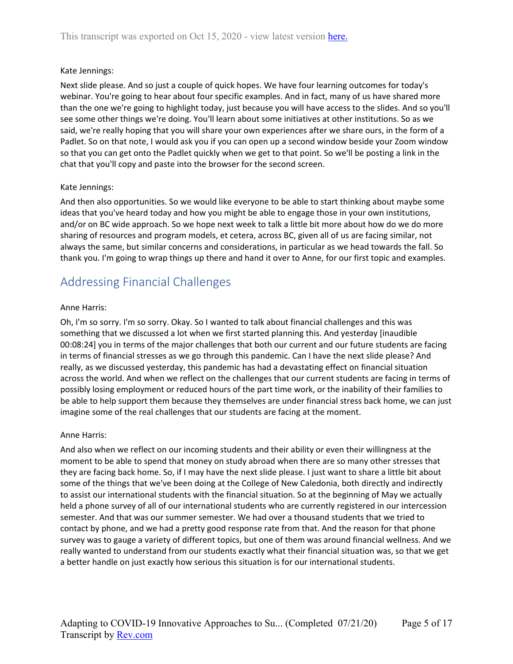#### Kate Jennings:

Next slide please. And so just a couple of quick hopes. We have four learning outcomes for today's webinar. You're going to hear about four specific examples. And in fact, many of us have shared more than the one we're going to highlight today, just because you will have access to the slides. And so you'll see some other things we're doing. You'll learn about some initiatives at other institutions. So as we said, we're really hoping that you will share your own experiences after we share ours, in the form of a Padlet. So on that note, I would ask you if you can open up a second window beside your Zoom window so that you can get onto the Padlet quickly when we get to that point. So we'll be posting a link in the chat that you'll copy and paste into the browser for the second screen.

#### Kate Jennings:

And then also opportunities. So we would like everyone to be able to start thinking about maybe some ideas that you've heard today and how you might be able to engage those in your own institutions, and/or on BC wide approach. So we hope next week to talk a little bit more about how do we do more sharing of resources and program models, et cetera, across BC, given all of us are facing similar, not always the same, but similar concerns and considerations, in particular as we head towards the fall. So thank you. I'm going to wrap things up there and hand it over to Anne, for our first topic and examples.

### <span id="page-4-0"></span>Addressing Financial Challenges

#### Anne Harris:

Oh, I'm so sorry. I'm so sorry. Okay. So I wanted to talk about financial challenges and this was something that we discussed a lot when we first started planning this. And yesterday [inaudible 00:08:24] you in terms of the major challenges that both our current and our future students are facing in terms of financial stresses as we go through this pandemic. Can I have the next slide please? And really, as we discussed yesterday, this pandemic has had a devastating effect on financial situation across the world. And when we reflect on the challenges that our current students are facing in terms of possibly losing employment or reduced hours of the part time work, or the inability of their families to be able to help support them because they themselves are under financial stress back home, we can just imagine some of the real challenges that our students are facing at the moment.

#### Anne Harris:

And also when we reflect on our incoming students and their ability or even their willingness at the moment to be able to spend that money on study abroad when there are so many other stresses that they are facing back home. So, if I may have the next slide please. I just want to share a little bit about some of the things that we've been doing at the College of New Caledonia, both directly and indirectly to assist our international students with the financial situation. So at the beginning of May we actually held a phone survey of all of our international students who are currently registered in our intercession semester. And that was our summer semester. We had over a thousand students that we tried to contact by phone, and we had a pretty good response rate from that. And the reason for that phone survey was to gauge a variety of different topics, but one of them was around financial wellness. And we really wanted to understand from our students exactly what their financial situation was, so that we get a better handle on just exactly how serious this situation is for our international students.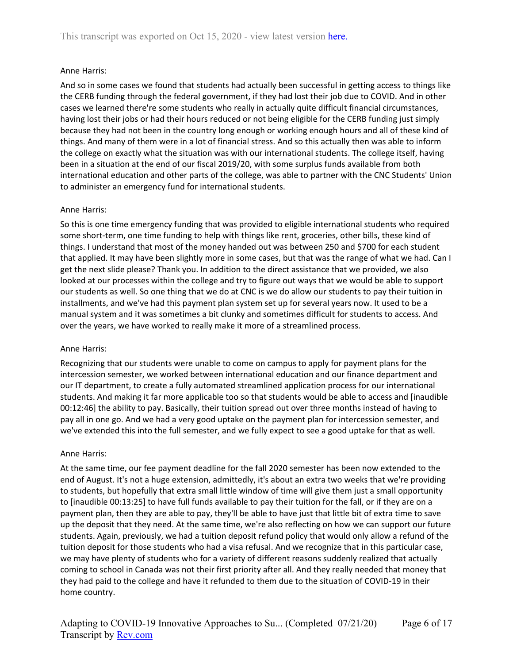#### Anne Harris:

And so in some cases we found that students had actually been successful in getting access to things like the CERB funding through the federal government, if they had lost their job due to COVID. And in other cases we learned there're some students who really in actually quite difficult financial circumstances, having lost their jobs or had their hours reduced or not being eligible for the CERB funding just simply because they had not been in the country long enough or working enough hours and all of these kind of things. And many of them were in a lot of financial stress. And so this actually then was able to inform the college on exactly what the situation was with our international students. The college itself, having been in a situation at the end of our fiscal 2019/20, with some surplus funds available from both international education and other parts of the college, was able to partner with the CNC Students' Union to administer an emergency fund for international students.

#### Anne Harris:

So this is one time emergency funding that was provided to eligible international students who required some short-term, one time funding to help with things like rent, groceries, other bills, these kind of things. I understand that most of the money handed out was between 250 and \$700 for each student that applied. It may have been slightly more in some cases, but that was the range of what we had. Can I get the next slide please? Thank you. In addition to the direct assistance that we provided, we also looked at our processes within the college and try to figure out ways that we would be able to support our students as well. So one thing that we do at CNC is we do allow our students to pay their tuition in installments, and we've had this payment plan system set up for several years now. It used to be a manual system and it was sometimes a bit clunky and sometimes difficult for students to access. And over the years, we have worked to really make it more of a streamlined process.

#### Anne Harris:

Recognizing that our students were unable to come on campus to apply for payment plans for the intercession semester, we worked between international education and our finance department and our IT department, to create a fully automated streamlined application process for our international students. And making it far more applicable too so that students would be able to access and [inaudible 00:12:46] the ability to pay. Basically, their tuition spread out over three months instead of having to pay all in one go. And we had a very good uptake on the payment plan for intercession semester, and we've extended this into the full semester, and we fully expect to see a good uptake for that as well.

#### Anne Harris:

At the same time, our fee payment deadline for the fall 2020 semester has been now extended to the end of August. It's not a huge extension, admittedly, it's about an extra two weeks that we're providing to students, but hopefully that extra small little window of time will give them just a small opportunity to [inaudible 00:13:25] to have full funds available to pay their tuition for the fall, or if they are on a payment plan, then they are able to pay, they'll be able to have just that little bit of extra time to save up the deposit that they need. At the same time, we're also reflecting on how we can support our future students. Again, previously, we had a tuition deposit refund policy that would only allow a refund of the tuition deposit for those students who had a visa refusal. And we recognize that in this particular case, we may have plenty of students who for a variety of different reasons suddenly realized that actually coming to school in Canada was not their first priority after all. And they really needed that money that they had paid to the college and have it refunded to them due to the situation of COVID-19 in their home country.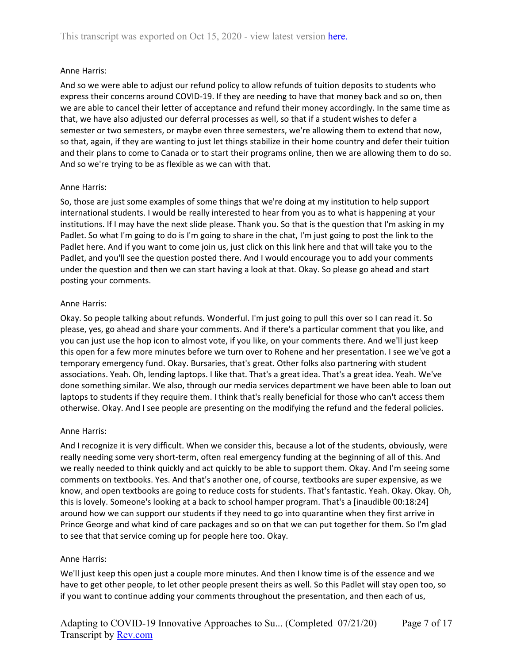#### Anne Harris:

And so we were able to adjust our refund policy to allow refunds of tuition deposits to students who express their concerns around COVID-19. If they are needing to have that money back and so on, then we are able to cancel their letter of acceptance and refund their money accordingly. In the same time as that, we have also adjusted our deferral processes as well, so that if a student wishes to defer a semester or two semesters, or maybe even three semesters, we're allowing them to extend that now, so that, again, if they are wanting to just let things stabilize in their home country and defer their tuition and their plans to come to Canada or to start their programs online, then we are allowing them to do so. And so we're trying to be as flexible as we can with that.

#### Anne Harris:

So, those are just some examples of some things that we're doing at my institution to help support international students. I would be really interested to hear from you as to what is happening at your institutions. If I may have the next slide please. Thank you. So that is the question that I'm asking in my Padlet. So what I'm going to do is I'm going to share in the chat, I'm just going to post the link to the Padlet here. And if you want to come join us, just click on this link here and that will take you to the Padlet, and you'll see the question posted there. And I would encourage you to add your comments under the question and then we can start having a look at that. Okay. So please go ahead and start posting your comments.

#### Anne Harris:

Okay. So people talking about refunds. Wonderful. I'm just going to pull this over so I can read it. So please, yes, go ahead and share your comments. And if there's a particular comment that you like, and you can just use the hop icon to almost vote, if you like, on your comments there. And we'll just keep this open for a few more minutes before we turn over to Rohene and her presentation. I see we've got a temporary emergency fund. Okay. Bursaries, that's great. Other folks also partnering with student associations. Yeah. Oh, lending laptops. I like that. That's a great idea. That's a great idea. Yeah. We've done something similar. We also, through our media services department we have been able to loan out laptops to students if they require them. I think that's really beneficial for those who can't access them otherwise. Okay. And I see people are presenting on the modifying the refund and the federal policies.

#### Anne Harris:

And I recognize it is very difficult. When we consider this, because a lot of the students, obviously, were really needing some very short-term, often real emergency funding at the beginning of all of this. And we really needed to think quickly and act quickly to be able to support them. Okay. And I'm seeing some comments on textbooks. Yes. And that's another one, of course, textbooks are super expensive, as we know, and open textbooks are going to reduce costs for students. That's fantastic. Yeah. Okay. Okay. Oh, this is lovely. Someone's looking at a back to school hamper program. That's a [inaudible 00:18:24] around how we can support our students if they need to go into quarantine when they first arrive in Prince George and what kind of care packages and so on that we can put together for them. So I'm glad to see that that service coming up for people here too. Okay.

#### Anne Harris:

We'll just keep this open just a couple more minutes. And then I know time is of the essence and we have to get other people, to let other people present theirs as well. So this Padlet will stay open too, so if you want to continue adding your comments throughout the presentation, and then each of us,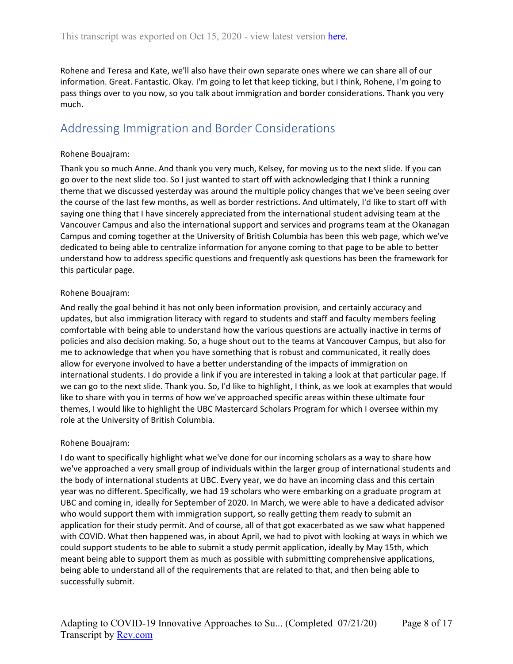Rohene and Teresa and Kate, we'll also have their own separate ones where we can share all of our information. Great. Fantastic. Okay. I'm going to let that keep ticking, but I think, Rohene, I'm going to pass things over to you now, so you talk about immigration and border considerations. Thank you very much.

### <span id="page-7-0"></span>Addressing Immigration and Border Considerations

#### Rohene Bouajram:

Thank you so much Anne. And thank you very much, Kelsey, for moving us to the next slide. If you can go over to the next slide too. So I just wanted to start off with acknowledging that I think a running theme that we discussed yesterday was around the multiple policy changes that we've been seeing over the course of the last few months, as well as border restrictions. And ultimately, I'd like to start off with saying one thing that I have sincerely appreciated from the international student advising team at the Vancouver Campus and also the international support and services and programs team at the Okanagan Campus and coming together at the University of British Columbia has been this web page, which we've dedicated to being able to centralize information for anyone coming to that page to be able to better understand how to address specific questions and frequently ask questions has been the framework for this particular page.

#### Rohene Bouajram:

And really the goal behind it has not only been information provision, and certainly accuracy and updates, but also immigration literacy with regard to students and staff and faculty members feeling comfortable with being able to understand how the various questions are actually inactive in terms of policies and also decision making. So, a huge shout out to the teams at Vancouver Campus, but also for me to acknowledge that when you have something that is robust and communicated, it really does allow for everyone involved to have a better understanding of the impacts of immigration on international students. I do provide a link if you are interested in taking a look at that particular page. If we can go to the next slide. Thank you. So, I'd like to highlight, I think, as we look at examples that would like to share with you in terms of how we've approached specific areas within these ultimate four themes, I would like to highlight the UBC Mastercard Scholars Program for which I oversee within my role at the University of British Columbia.

#### Rohene Bouajram:

I do want to specifically highlight what we've done for our incoming scholars as a way to share how we've approached a very small group of individuals within the larger group of international students and the body of international students at UBC. Every year, we do have an incoming class and this certain year was no different. Specifically, we had 19 scholars who were embarking on a graduate program at UBC and coming in, ideally for September of 2020. In March, we were able to have a dedicated advisor who would support them with immigration support, so really getting them ready to submit an application for their study permit. And of course, all of that got exacerbated as we saw what happened with COVID. What then happened was, in about April, we had to pivot with looking at ways in which we could support students to be able to submit a study permit application, ideally by May 15th, which meant being able to support them as much as possible with submitting comprehensive applications, being able to understand all of the requirements that are related to that, and then being able to successfully submit.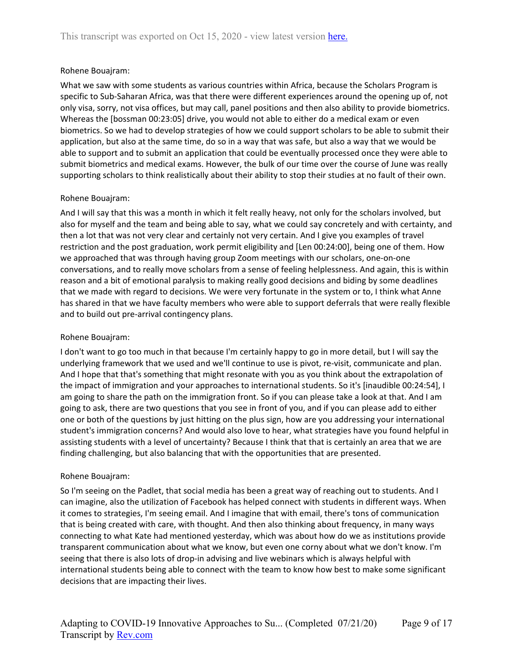#### Rohene Bouajram:

What we saw with some students as various countries within Africa, because the Scholars Program is specific to Sub-Saharan Africa, was that there were different experiences around the opening up of, not only visa, sorry, not visa offices, but may call, panel positions and then also ability to provide biometrics. Whereas the [bossman 00:23:05] drive, you would not able to either do a medical exam or even biometrics. So we had to develop strategies of how we could support scholars to be able to submit their application, but also at the same time, do so in a way that was safe, but also a way that we would be able to support and to submit an application that could be eventually processed once they were able to submit biometrics and medical exams. However, the bulk of our time over the course of June was really supporting scholars to think realistically about their ability to stop their studies at no fault of their own.

#### Rohene Bouajram:

And I will say that this was a month in which it felt really heavy, not only for the scholars involved, but also for myself and the team and being able to say, what we could say concretely and with certainty, and then a lot that was not very clear and certainly not very certain. And I give you examples of travel restriction and the post graduation, work permit eligibility and [Len 00:24:00], being one of them. How we approached that was through having group Zoom meetings with our scholars, one-on-one conversations, and to really move scholars from a sense of feeling helplessness. And again, this is within reason and a bit of emotional paralysis to making really good decisions and biding by some deadlines that we made with regard to decisions. We were very fortunate in the system or to, I think what Anne has shared in that we have faculty members who were able to support deferrals that were really flexible and to build out pre-arrival contingency plans.

#### Rohene Bouajram:

I don't want to go too much in that because I'm certainly happy to go in more detail, but I will say the underlying framework that we used and we'll continue to use is pivot, re-visit, communicate and plan. And I hope that that's something that might resonate with you as you think about the extrapolation of the impact of immigration and your approaches to international students. So it's [inaudible 00:24:54], I am going to share the path on the immigration front. So if you can please take a look at that. And I am going to ask, there are two questions that you see in front of you, and if you can please add to either one or both of the questions by just hitting on the plus sign, how are you addressing your international student's immigration concerns? And would also love to hear, what strategies have you found helpful in assisting students with a level of uncertainty? Because I think that that is certainly an area that we are finding challenging, but also balancing that with the opportunities that are presented.

#### Rohene Bouajram:

So I'm seeing on the Padlet, that social media has been a great way of reaching out to students. And I can imagine, also the utilization of Facebook has helped connect with students in different ways. When it comes to strategies, I'm seeing email. And I imagine that with email, there's tons of communication that is being created with care, with thought. And then also thinking about frequency, in many ways connecting to what Kate had mentioned yesterday, which was about how do we as institutions provide transparent communication about what we know, but even one corny about what we don't know. I'm seeing that there is also lots of drop-in advising and live webinars which is always helpful with international students being able to connect with the team to know how best to make some significant decisions that are impacting their lives.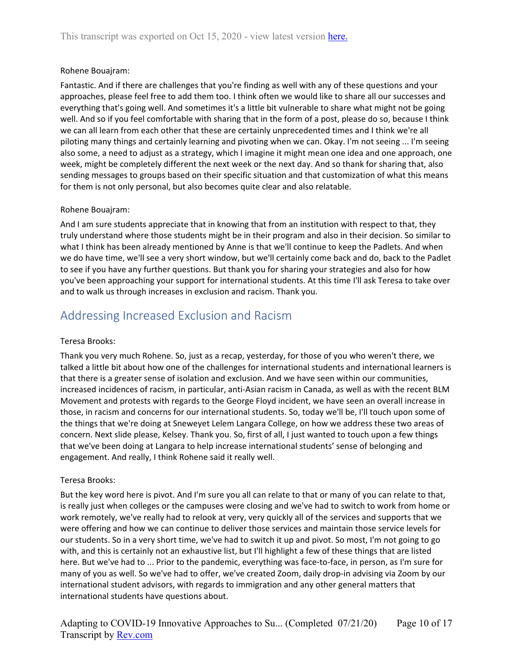#### Rohene Bouajram:

Fantastic. And if there are challenges that you're finding as well with any of these questions and your approaches, please feel free to add them too. I think often we would like to share all our successes and everything that's going well. And sometimes it's a little bit vulnerable to share what might not be going well. And so if you feel comfortable with sharing that in the form of a post, please do so, because I think we can all learn from each other that these are certainly unprecedented times and I think we're all piloting many things and certainly learning and pivoting when we can. Okay. I'm not seeing ... I'm seeing also some, a need to adjust as a strategy, which I imagine it might mean one idea and one approach, one week, might be completely different the next week or the next day. And so thank for sharing that, also sending messages to groups based on their specific situation and that customization of what this means for them is not only personal, but also becomes quite clear and also relatable.

#### Rohene Bouajram:

And I am sure students appreciate that in knowing that from an institution with respect to that, they truly understand where those students might be in their program and also in their decision. So similar to what I think has been already mentioned by Anne is that we'll continue to keep the Padlets. And when we do have time, we'll see a very short window, but we'll certainly come back and do, back to the Padlet to see if you have any further questions. But thank you for sharing your strategies and also for how you've been approaching your support for international students. At this time I'll ask Teresa to take over and to walk us through increases in exclusion and racism. Thank you.

### <span id="page-9-0"></span>Addressing Increased Exclusion and Racism

#### Teresa Brooks:

Thank you very much Rohene. So, just as a recap, yesterday, for those of you who weren't there, we talked a little bit about how one of the challenges for international students and international learners is that there is a greater sense of isolation and exclusion. And we have seen within our communities, increased incidences of racism, in particular, anti-Asian racism in Canada, as well as with the recent BLM Movement and protests with regards to the George Floyd incident, we have seen an overall increase in those, in racism and concerns for our international students. So, today we'll be, I'll touch upon some of the things that we're doing at Sneweyet Lelem Langara College, on how we address these two areas of concern. Next slide please, Kelsey. Thank you. So, first of all, I just wanted to touch upon a few things that we've been doing at Langara to help increase international students' sense of belonging and engagement. And really, I think Rohene said it really well.

#### Teresa Brooks:

But the key word here is pivot. And I'm sure you all can relate to that or many of you can relate to that, is really just when colleges or the campuses were closing and we've had to switch to work from home or work remotely, we've really had to relook at very, very quickly all of the services and supports that we were offering and how we can continue to deliver those services and maintain those service levels for our students. So in a very short time, we've had to switch it up and pivot. So most, I'm not going to go with, and this is certainly not an exhaustive list, but I'll highlight a few of these things that are listed here. But we've had to ... Prior to the pandemic, everything was face-to-face, in person, as I'm sure for many of you as well. So we've had to offer, we've created Zoom, daily drop-in advising via Zoom by our international student advisors, with regards to immigration and any other general matters that international students have questions about.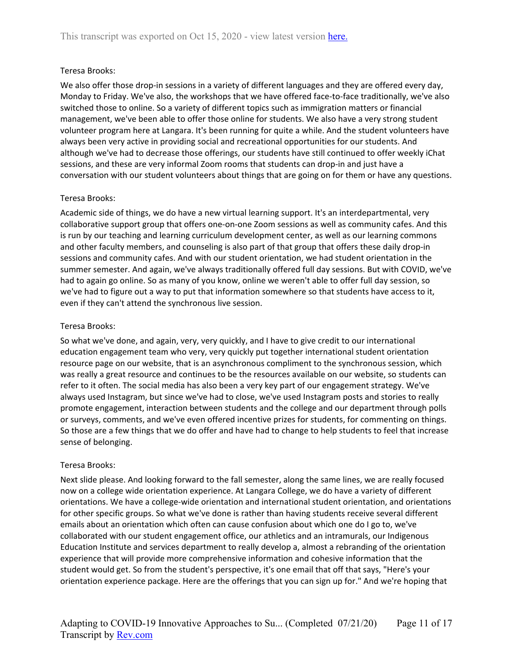#### Teresa Brooks:

We also offer those drop-in sessions in a variety of different languages and they are offered every day, Monday to Friday. We've also, the workshops that we have offered face-to-face traditionally, we've also switched those to online. So a variety of different topics such as immigration matters or financial management, we've been able to offer those online for students. We also have a very strong student volunteer program here at Langara. It's been running for quite a while. And the student volunteers have always been very active in providing social and recreational opportunities for our students. And although we've had to decrease those offerings, our students have still continued to offer weekly iChat sessions, and these are very informal Zoom rooms that students can drop-in and just have a conversation with our student volunteers about things that are going on for them or have any questions.

#### Teresa Brooks:

Academic side of things, we do have a new virtual learning support. It's an interdepartmental, very collaborative support group that offers one-on-one Zoom sessions as well as community cafes. And this is run by our teaching and learning curriculum development center, as well as our learning commons and other faculty members, and counseling is also part of that group that offers these daily drop-in sessions and community cafes. And with our student orientation, we had student orientation in the summer semester. And again, we've always traditionally offered full day sessions. But with COVID, we've had to again go online. So as many of you know, online we weren't able to offer full day session, so we've had to figure out a way to put that information somewhere so that students have access to it, even if they can't attend the synchronous live session.

#### Teresa Brooks:

So what we've done, and again, very, very quickly, and I have to give credit to our international education engagement team who very, very quickly put together international student orientation resource page on our website, that is an asynchronous compliment to the synchronous session, which was really a great resource and continues to be the resources available on our website, so students can refer to it often. The social media has also been a very key part of our engagement strategy. We've always used Instagram, but since we've had to close, we've used Instagram posts and stories to really promote engagement, interaction between students and the college and our department through polls or surveys, comments, and we've even offered incentive prizes for students, for commenting on things. So those are a few things that we do offer and have had to change to help students to feel that increase sense of belonging.

#### Teresa Brooks:

Next slide please. And looking forward to the fall semester, along the same lines, we are really focused now on a college wide orientation experience. At Langara College, we do have a variety of different orientations. We have a college-wide orientation and international student orientation, and orientations for other specific groups. So what we've done is rather than having students receive several different emails about an orientation which often can cause confusion about which one do I go to, we've collaborated with our student engagement office, our athletics and an intramurals, our Indigenous Education Institute and services department to really develop a, almost a rebranding of the orientation experience that will provide more comprehensive information and cohesive information that the student would get. So from the student's perspective, it's one email that off that says, "Here's your orientation experience package. Here are the offerings that you can sign up for." And we're hoping that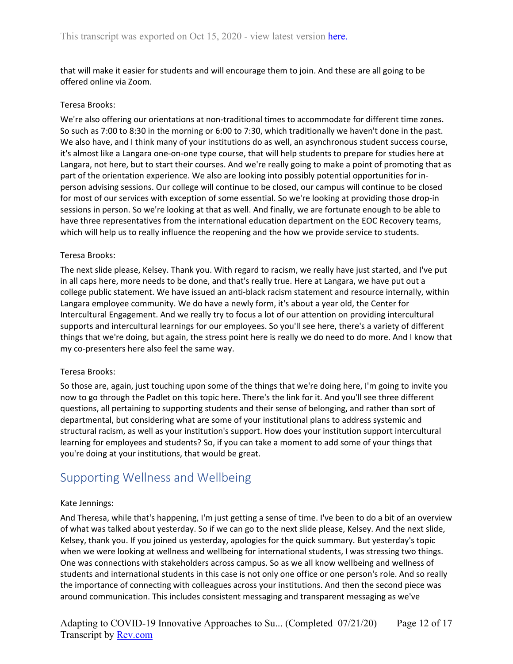that will make it easier for students and will encourage them to join. And these are all going to be offered online via Zoom.

#### Teresa Brooks:

We're also offering our orientations at non-traditional times to accommodate for different time zones. So such as 7:00 to 8:30 in the morning or 6:00 to 7:30, which traditionally we haven't done in the past. We also have, and I think many of your institutions do as well, an asynchronous student success course, it's almost like a Langara one-on-one type course, that will help students to prepare for studies here at Langara, not here, but to start their courses. And we're really going to make a point of promoting that as part of the orientation experience. We also are looking into possibly potential opportunities for inperson advising sessions. Our college will continue to be closed, our campus will continue to be closed for most of our services with exception of some essential. So we're looking at providing those drop-in sessions in person. So we're looking at that as well. And finally, we are fortunate enough to be able to have three representatives from the international education department on the EOC Recovery teams, which will help us to really influence the reopening and the how we provide service to students.

#### Teresa Brooks:

The next slide please, Kelsey. Thank you. With regard to racism, we really have just started, and I've put in all caps here, more needs to be done, and that's really true. Here at Langara, we have put out a college public statement. We have issued an anti-black racism statement and resource internally, within Langara employee community. We do have a newly form, it's about a year old, the Center for Intercultural Engagement. And we really try to focus a lot of our attention on providing intercultural supports and intercultural learnings for our employees. So you'll see here, there's a variety of different things that we're doing, but again, the stress point here is really we do need to do more. And I know that my co-presenters here also feel the same way.

#### Teresa Brooks:

So those are, again, just touching upon some of the things that we're doing here, I'm going to invite you now to go through the Padlet on this topic here. There's the link for it. And you'll see three different questions, all pertaining to supporting students and their sense of belonging, and rather than sort of departmental, but considering what are some of your institutional plans to address systemic and structural racism, as well as your institution's support. How does your institution support intercultural learning for employees and students? So, if you can take a moment to add some of your things that you're doing at your institutions, that would be great.

### <span id="page-11-0"></span>Supporting Wellness and Wellbeing

#### Kate Jennings:

And Theresa, while that's happening, I'm just getting a sense of time. I've been to do a bit of an overview of what was talked about yesterday. So if we can go to the next slide please, Kelsey. And the next slide, Kelsey, thank you. If you joined us yesterday, apologies for the quick summary. But yesterday's topic when we were looking at wellness and wellbeing for international students, I was stressing two things. One was connections with stakeholders across campus. So as we all know wellbeing and wellness of students and international students in this case is not only one office or one person's role. And so really the importance of connecting with colleagues across your institutions. And then the second piece was around communication. This includes consistent messaging and transparent messaging as we've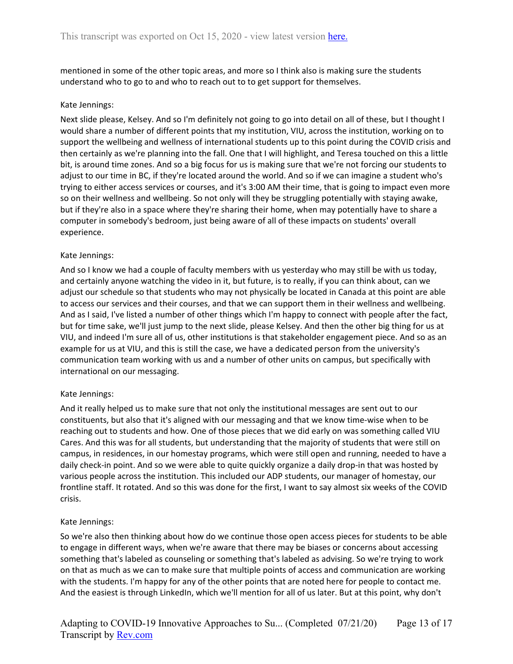mentioned in some of the other topic areas, and more so I think also is making sure the students understand who to go to and who to reach out to to get support for themselves.

#### Kate Jennings:

Next slide please, Kelsey. And so I'm definitely not going to go into detail on all of these, but I thought I would share a number of different points that my institution, VIU, across the institution, working on to support the wellbeing and wellness of international students up to this point during the COVID crisis and then certainly as we're planning into the fall. One that I will highlight, and Teresa touched on this a little bit, is around time zones. And so a big focus for us is making sure that we're not forcing our students to adjust to our time in BC, if they're located around the world. And so if we can imagine a student who's trying to either access services or courses, and it's 3:00 AM their time, that is going to impact even more so on their wellness and wellbeing. So not only will they be struggling potentially with staying awake, but if they're also in a space where they're sharing their home, when may potentially have to share a computer in somebody's bedroom, just being aware of all of these impacts on students' overall experience.

#### Kate Jennings:

And so I know we had a couple of faculty members with us yesterday who may still be with us today, and certainly anyone watching the video in it, but future, is to really, if you can think about, can we adjust our schedule so that students who may not physically be located in Canada at this point are able to access our services and their courses, and that we can support them in their wellness and wellbeing. And as I said, I've listed a number of other things which I'm happy to connect with people after the fact, but for time sake, we'll just jump to the next slide, please Kelsey. And then the other big thing for us at VIU, and indeed I'm sure all of us, other institutions is that stakeholder engagement piece. And so as an example for us at VIU, and this is still the case, we have a dedicated person from the university's communication team working with us and a number of other units on campus, but specifically with international on our messaging.

#### Kate Jennings:

And it really helped us to make sure that not only the institutional messages are sent out to our constituents, but also that it's aligned with our messaging and that we know time-wise when to be reaching out to students and how. One of those pieces that we did early on was something called VIU Cares. And this was for all students, but understanding that the majority of students that were still on campus, in residences, in our homestay programs, which were still open and running, needed to have a daily check-in point. And so we were able to quite quickly organize a daily drop-in that was hosted by various people across the institution. This included our ADP students, our manager of homestay, our frontline staff. It rotated. And so this was done for the first, I want to say almost six weeks of the COVID crisis.

#### Kate Jennings:

So we're also then thinking about how do we continue those open access pieces for students to be able to engage in different ways, when we're aware that there may be biases or concerns about accessing something that's labeled as counseling or something that's labeled as advising. So we're trying to work on that as much as we can to make sure that multiple points of access and communication are working with the students. I'm happy for any of the other points that are noted here for people to contact me. And the easiest is through LinkedIn, which we'll mention for all of us later. But at this point, why don't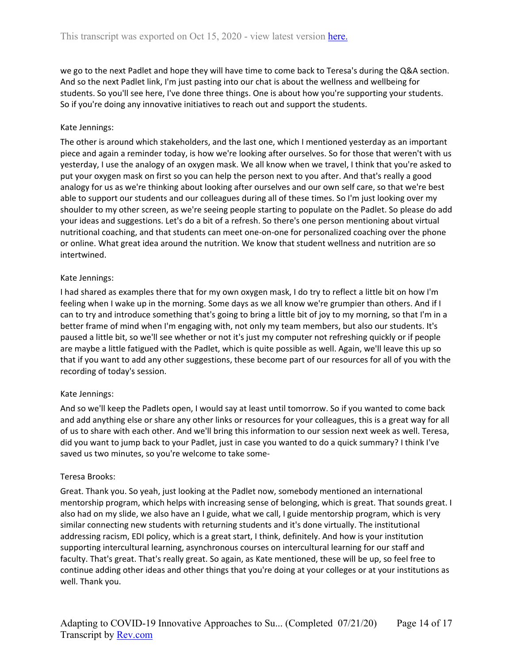we go to the next Padlet and hope they will have time to come back to Teresa's during the Q&A section. And so the next Padlet link, I'm just pasting into our chat is about the wellness and wellbeing for students. So you'll see here, I've done three things. One is about how you're supporting your students. So if you're doing any innovative initiatives to reach out and support the students.

#### Kate Jennings:

The other is around which stakeholders, and the last one, which I mentioned yesterday as an important piece and again a reminder today, is how we're looking after ourselves. So for those that weren't with us yesterday, I use the analogy of an oxygen mask. We all know when we travel, I think that you're asked to put your oxygen mask on first so you can help the person next to you after. And that's really a good analogy for us as we're thinking about looking after ourselves and our own self care, so that we're best able to support our students and our colleagues during all of these times. So I'm just looking over my shoulder to my other screen, as we're seeing people starting to populate on the Padlet. So please do add your ideas and suggestions. Let's do a bit of a refresh. So there's one person mentioning about virtual nutritional coaching, and that students can meet one-on-one for personalized coaching over the phone or online. What great idea around the nutrition. We know that student wellness and nutrition are so intertwined.

#### Kate Jennings:

I had shared as examples there that for my own oxygen mask, I do try to reflect a little bit on how I'm feeling when I wake up in the morning. Some days as we all know we're grumpier than others. And if I can to try and introduce something that's going to bring a little bit of joy to my morning, so that I'm in a better frame of mind when I'm engaging with, not only my team members, but also our students. It's paused a little bit, so we'll see whether or not it's just my computer not refreshing quickly or if people are maybe a little fatigued with the Padlet, which is quite possible as well. Again, we'll leave this up so that if you want to add any other suggestions, these become part of our resources for all of you with the recording of today's session.

#### Kate Jennings:

And so we'll keep the Padlets open, I would say at least until tomorrow. So if you wanted to come back and add anything else or share any other links or resources for your colleagues, this is a great way for all of us to share with each other. And we'll bring this information to our session next week as well. Teresa, did you want to jump back to your Padlet, just in case you wanted to do a quick summary? I think I've saved us two minutes, so you're welcome to take some-

#### Teresa Brooks:

Great. Thank you. So yeah, just looking at the Padlet now, somebody mentioned an international mentorship program, which helps with increasing sense of belonging, which is great. That sounds great. I also had on my slide, we also have an I guide, what we call, I guide mentorship program, which is very similar connecting new students with returning students and it's done virtually. The institutional addressing racism, EDI policy, which is a great start, I think, definitely. And how is your institution supporting intercultural learning, asynchronous courses on intercultural learning for our staff and faculty. That's great. That's really great. So again, as Kate mentioned, these will be up, so feel free to continue adding other ideas and other things that you're doing at your colleges or at your institutions as well. Thank you.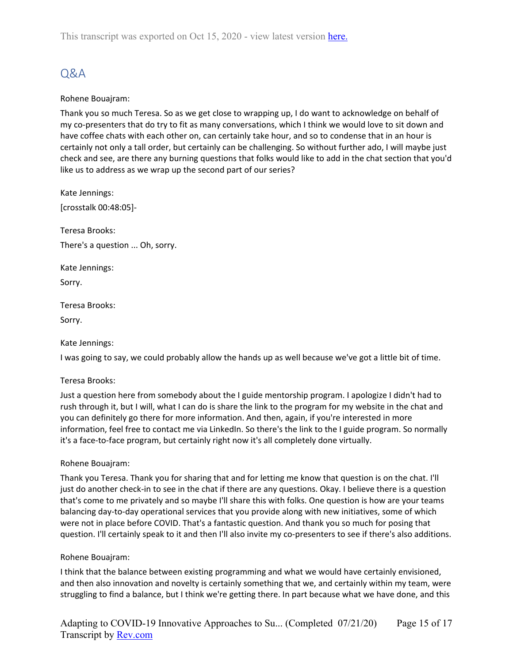This transcript was exported on Oct 15, 2020 - view latest version [here.](https://www.rev.com/transcript-editor/Edit?token=2XF0ZMWvk4bHC8Odp1g4dSxttcxynUWi8sgZZWJMJqhCbCdo-vE19px6ubfZU656aEuyJus1VQNcL2ESO5NfI-hUUWo&loadFrom=DocumentHeaderDeepLink)

### <span id="page-14-0"></span>Q&A

#### Rohene Bouajram:

Thank you so much Teresa. So as we get close to wrapping up, I do want to acknowledge on behalf of my co-presenters that do try to fit as many conversations, which I think we would love to sit down and have coffee chats with each other on, can certainly take hour, and so to condense that in an hour is certainly not only a tall order, but certainly can be challenging. So without further ado, I will maybe just check and see, are there any burning questions that folks would like to add in the chat section that you'd like us to address as we wrap up the second part of our series?

Kate Jennings: [crosstalk 00:48:05]-

Teresa Brooks: There's a question ... Oh, sorry.

Kate Jennings:

Sorry.

Teresa Brooks:

Sorry.

#### Kate Jennings:

I was going to say, we could probably allow the hands up as well because we've got a little bit of time.

#### Teresa Brooks:

Just a question here from somebody about the I guide mentorship program. I apologize I didn't had to rush through it, but I will, what I can do is share the link to the program for my website in the chat and you can definitely go there for more information. And then, again, if you're interested in more information, feel free to contact me via LinkedIn. So there's the link to the I guide program. So normally it's a face-to-face program, but certainly right now it's all completely done virtually.

#### Rohene Bouajram:

Thank you Teresa. Thank you for sharing that and for letting me know that question is on the chat. I'll just do another check-in to see in the chat if there are any questions. Okay. I believe there is a question that's come to me privately and so maybe I'll share this with folks. One question is how are your teams balancing day-to-day operational services that you provide along with new initiatives, some of which were not in place before COVID. That's a fantastic question. And thank you so much for posing that question. I'll certainly speak to it and then I'll also invite my co-presenters to see if there's also additions.

#### Rohene Bouajram:

I think that the balance between existing programming and what we would have certainly envisioned, and then also innovation and novelty is certainly something that we, and certainly within my team, were struggling to find a balance, but I think we're getting there. In part because what we have done, and this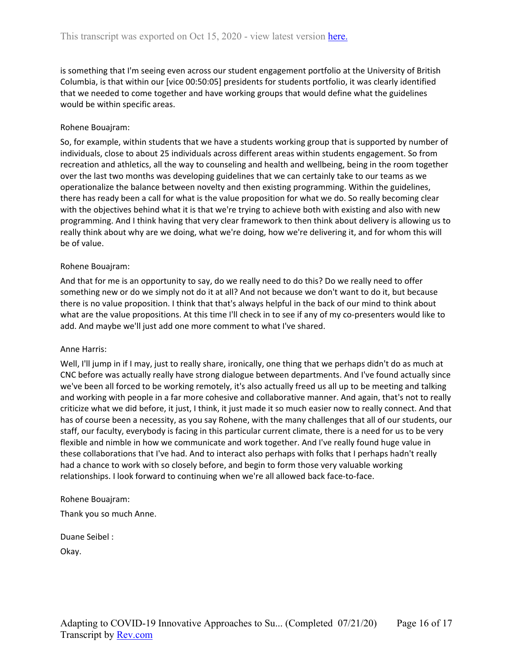is something that I'm seeing even across our student engagement portfolio at the University of British Columbia, is that within our [vice 00:50:05] presidents for students portfolio, it was clearly identified that we needed to come together and have working groups that would define what the guidelines would be within specific areas.

#### Rohene Bouajram:

So, for example, within students that we have a students working group that is supported by number of individuals, close to about 25 individuals across different areas within students engagement. So from recreation and athletics, all the way to counseling and health and wellbeing, being in the room together over the last two months was developing guidelines that we can certainly take to our teams as we operationalize the balance between novelty and then existing programming. Within the guidelines, there has ready been a call for what is the value proposition for what we do. So really becoming clear with the objectives behind what it is that we're trying to achieve both with existing and also with new programming. And I think having that very clear framework to then think about delivery is allowing us to really think about why are we doing, what we're doing, how we're delivering it, and for whom this will be of value.

#### Rohene Bouajram:

And that for me is an opportunity to say, do we really need to do this? Do we really need to offer something new or do we simply not do it at all? And not because we don't want to do it, but because there is no value proposition. I think that that's always helpful in the back of our mind to think about what are the value propositions. At this time I'll check in to see if any of my co-presenters would like to add. And maybe we'll just add one more comment to what I've shared.

#### Anne Harris:

Well, I'll jump in if I may, just to really share, ironically, one thing that we perhaps didn't do as much at CNC before was actually really have strong dialogue between departments. And I've found actually since we've been all forced to be working remotely, it's also actually freed us all up to be meeting and talking and working with people in a far more cohesive and collaborative manner. And again, that's not to really criticize what we did before, it just, I think, it just made it so much easier now to really connect. And that has of course been a necessity, as you say Rohene, with the many challenges that all of our students, our staff, our faculty, everybody is facing in this particular current climate, there is a need for us to be very flexible and nimble in how we communicate and work together. And I've really found huge value in these collaborations that I've had. And to interact also perhaps with folks that I perhaps hadn't really had a chance to work with so closely before, and begin to form those very valuable working relationships. I look forward to continuing when we're all allowed back face-to-face.

#### Rohene Bouajram:

Thank you so much Anne.

Duane Seibel : Okay.